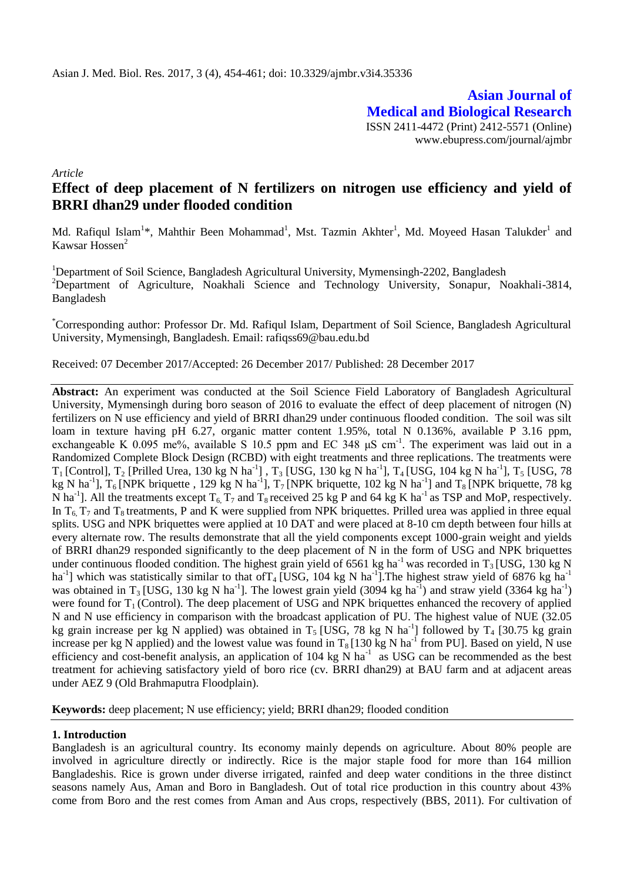**Asian Journal of Medical and Biological Research** ISSN 2411-4472 (Print) 2412-5571 (Online) www.ebupress.com/journal/ajmbr

*Article*

# **Effect of deep placement of N fertilizers on nitrogen use efficiency and yield of BRRI dhan29 under flooded condition**

Md. Rafiqul Islam<sup>1\*</sup>, Mahthir Been Mohammad<sup>1</sup>, Mst. Tazmin Akhter<sup>1</sup>, Md. Moyeed Hasan Talukder<sup>1</sup> and Kawsar Hossen<sup>2</sup>

<sup>1</sup>Department of Soil Science, Bangladesh Agricultural University, Mymensingh-2202, Bangladesh <sup>2</sup>Department of Agriculture, Noakhali Science and Technology University, Sonapur, Noakhali-3814, Bangladesh

\*Corresponding author: Professor Dr. Md. Rafiqul Islam, Department of Soil Science, Bangladesh Agricultural University, Mymensingh, Bangladesh. Email: rafiqss69@bau.edu.bd

Received: 07 December 2017/Accepted: 26 December 2017/ Published: 28 December 2017

**Abstract:** An experiment was conducted at the Soil Science Field Laboratory of Bangladesh Agricultural University, Mymensingh during boro season of 2016 to evaluate the effect of deep placement of nitrogen (N) fertilizers on N use efficiency and yield of BRRI dhan29 under continuous flooded condition. The soil was silt loam in texture having pH 6.27, organic matter content 1.95%, total N 0.136%, available P 3.16 ppm, exchangeable K 0.095 me%, available S 10.5 ppm and EC 348  $\mu$ S cm<sup>-1</sup>. The experiment was laid out in a Randomized Complete Block Design (RCBD) with eight treatments and three replications. The treatments were  $T_1$  [Control],  $T_2$  [Prilled Urea, 130 kg N ha<sup>-1</sup>],  $T_3$  [USG, 130 kg N ha<sup>-1</sup>],  $T_4$  [USG, 104 kg N ha<sup>-1</sup>],  $T_5$  [USG, 78 kg N ha<sup>-1</sup>], T<sub>6</sub> [NPK briquette, 129 kg N ha<sup>-1</sup>], T<sub>7</sub> [NPK briquette, 102 kg N ha<sup>-1</sup>] and T<sub>8</sub> [NPK briquette, 78 kg N ha<sup>-1</sup>]. All the treatments except  $T_6$ ,  $T_7$  and  $T_8$  received 25 kg P and 64 kg K ha<sup>-1</sup> as TSP and MoP, respectively. In  $T_6$   $T_7$  and  $T_8$  treatments, P and K were supplied from NPK briquettes. Prilled urea was applied in three equal splits. USG and NPK briquettes were applied at 10 DAT and were placed at 8-10 cm depth between four hills at every alternate row. The results demonstrate that all the yield components except 1000-grain weight and yields of BRRI dhan29 responded significantly to the deep placement of N in the form of USG and NPK briquettes under continuous flooded condition. The highest grain yield of 6561 kg ha<sup>-1</sup> was recorded in  $T_3$  [USG, 130 kg N ha<sup>-1</sup>] which was statistically similar to that of T<sub>4</sub> [USG, 104 kg N ha<sup>-1</sup>]. The highest straw yield of 6876 kg ha<sup>-1</sup> was obtained in T<sub>3</sub> [USG, 130 kg N ha<sup>-1</sup>]. The lowest grain yield (3094 kg ha<sup>-1</sup>) and straw yield (3364 kg ha<sup>-1</sup>) were found for  $T_1$  (Control). The deep placement of USG and NPK briquettes enhanced the recovery of applied N and N use efficiency in comparison with the broadcast application of PU. The highest value of NUE (32.05 kg grain increase per kg N applied) was obtained in  $T_5$  [USG, 78 kg N ha<sup>-1</sup>] followed by  $T_4$  [30.75 kg grain increase per kg N applied) and the lowest value was found in  $T_8$  [130 kg N ha<sup>-1</sup> from PU]. Based on yield, N use efficiency and cost-benefit analysis, an application of 104 kg N ha<sup>-1</sup> as USG can be recommended as the best treatment for achieving satisfactory yield of boro rice (cv. BRRI dhan29) at BAU farm and at adjacent areas under AEZ 9 (Old Brahmaputra Floodplain).

**Keywords:** deep placement; N use efficiency; yield; BRRI dhan29; flooded condition

### **1. Introduction**

Bangladesh is an agricultural country. Its economy mainly depends on agriculture. About 80% people are involved in agriculture directly or indirectly. Rice is the major staple food for more than 164 million Bangladeshis. Rice is grown under diverse irrigated, rainfed and deep water conditions in the three distinct seasons namely Aus, Aman and Boro in Bangladesh. Out of total rice production in this country about 43% come from Boro and the rest comes from Aman and Aus crops, respectively (BBS, 2011). For cultivation of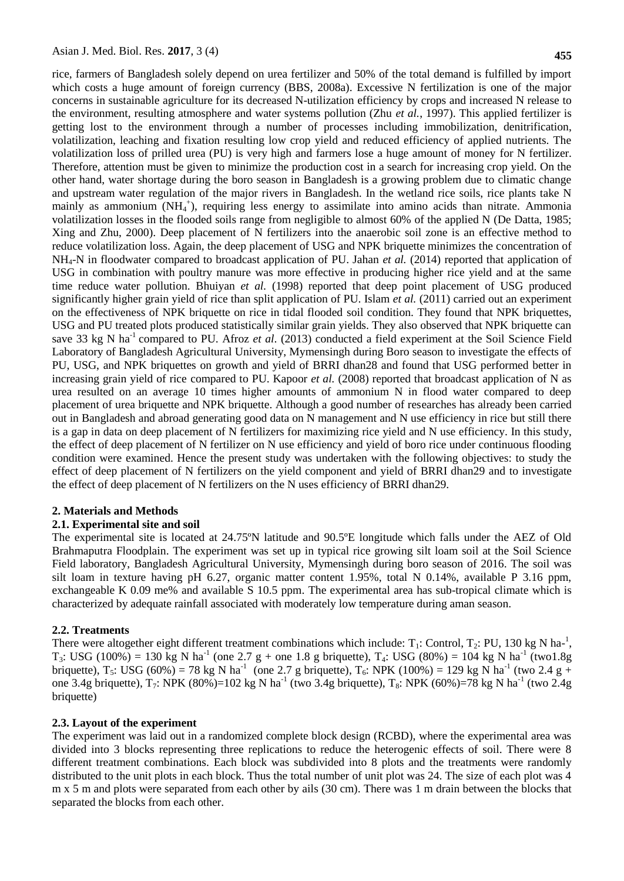rice, farmers of Bangladesh solely depend on urea fertilizer and 50% of the total demand is fulfilled by import which costs a huge amount of foreign currency (BBS, 2008a). Excessive N fertilization is one of the major concerns in sustainable agriculture for its decreased N-utilization efficiency by crops and increased N release to the environment, resulting atmosphere and water systems pollution (Zhu *et al.*, 1997). This applied fertilizer is getting lost to the environment through a number of processes including immobilization, denitrification, volatilization, leaching and fixation resulting low crop yield and reduced efficiency of applied nutrients. The volatilization loss of prilled urea (PU) is very high and farmers lose a huge amount of money for N fertilizer. Therefore, attention must be given to minimize the production cost in a search for increasing crop yield. On the other hand, water shortage during the boro season in Bangladesh is a growing problem due to climatic change and upstream water regulation of the major rivers in Bangladesh. In the wetland rice soils, rice plants take N mainly as ammonium (NH<sub>4</sub><sup>+</sup>), requiring less energy to assimilate into amino acids than nitrate. Ammonia volatilization losses in the flooded soils range from negligible to almost 60% of the applied N (De Datta, 1985; Xing and Zhu, 2000). Deep placement of N fertilizers into the anaerobic soil zone is an effective method to reduce volatilization loss. Again, the deep placement of USG and NPK briquette minimizes the concentration of NH4-N in floodwater compared to broadcast application of PU. Jahan *et al.* (2014) reported that application of USG in combination with poultry manure was more effective in producing higher rice yield and at the same time reduce water pollution. Bhuiyan *et al.* (1998) reported that deep point placement of USG produced significantly higher grain yield of rice than split application of PU. Islam *et al.* (2011) carried out an experiment on the effectiveness of NPK briquette on rice in tidal flooded soil condition. They found that NPK briquettes, USG and PU treated plots produced statistically similar grain yields. They also observed that NPK briquette can save 33 kg N ha<sup>-1</sup> compared to PU. Afroz *et al.* (2013) conducted a field experiment at the Soil Science Field Laboratory of Bangladesh Agricultural University, Mymensingh during Boro season to investigate the effects of PU, USG, and NPK briquettes on growth and yield of BRRI dhan28 and found that USG performed better in increasing grain yield of rice compared to PU. Kapoor *et al.* (2008) reported that broadcast application of N as urea resulted on an average 10 times higher amounts of ammonium N in flood water compared to deep placement of urea briquette and NPK briquette. Although a good number of researches has already been carried out in Bangladesh and abroad generating good data on N management and N use efficiency in rice but still there is a gap in data on deep placement of N fertilizers for maximizing rice yield and N use efficiency. In this study, the effect of deep placement of N fertilizer on N use efficiency and yield of boro rice under continuous flooding condition were examined. Hence the present study was undertaken with the following objectives: to study the effect of deep placement of N fertilizers on the yield component and yield of BRRI dhan29 and to investigate the effect of deep placement of N fertilizers on the N uses efficiency of BRRI dhan29.

#### **2. Materials and Methods**

#### **2.1. Experimental site and soil**

The experimental site is located at 24.75ºN latitude and 90.5ºE longitude which falls under the AEZ of Old Brahmaputra Floodplain. The experiment was set up in typical rice growing silt loam soil at the Soil Science Field laboratory, Bangladesh Agricultural University, Mymensingh during boro season of 2016. The soil was silt loam in texture having pH 6.27, organic matter content 1.95%, total N 0.14%, available P 3.16 ppm, exchangeable K 0.09 me% and available S 10.5 ppm. The experimental area has sub-tropical climate which is characterized by adequate rainfall associated with moderately low temperature during aman season.

#### **2.2. Treatments**

There were altogether eight different treatment combinations which include:  $T_1$ : Control,  $T_2$ : PU, 130 kg N ha-<sup>1</sup>,  $T_3$ : USG (100%) = 130 kg N ha<sup>-1</sup> (one 2.7 g + one 1.8 g briquette),  $T_4$ : USG (80%) = 104 kg N ha<sup>-1</sup> (two1.8g briquette),  $T_5$ : USG (60%) = 78 kg N ha<sup>-1</sup> (one 2.7 g briquette),  $T_6$ : NPK (100%) = 129 kg N ha<sup>-1</sup> (two 2.4 g + one 3.4g briquette),  $T_7$ : NPK (80%)=102 kg N ha<sup>-1</sup> (two 3.4g briquette),  $T_8$ : NPK (60%)=78 kg N ha<sup>-1</sup> (two 2.4g briquette)

#### **2.3. Layout of the experiment**

The experiment was laid out in a randomized complete block design (RCBD), where the experimental area was divided into 3 blocks representing three replications to reduce the heterogenic effects of soil. There were 8 different treatment combinations. Each block was subdivided into 8 plots and the treatments were randomly distributed to the unit plots in each block. Thus the total number of unit plot was 24. The size of each plot was 4 m x 5 m and plots were separated from each other by ails (30 cm). There was 1 m drain between the blocks that separated the blocks from each other.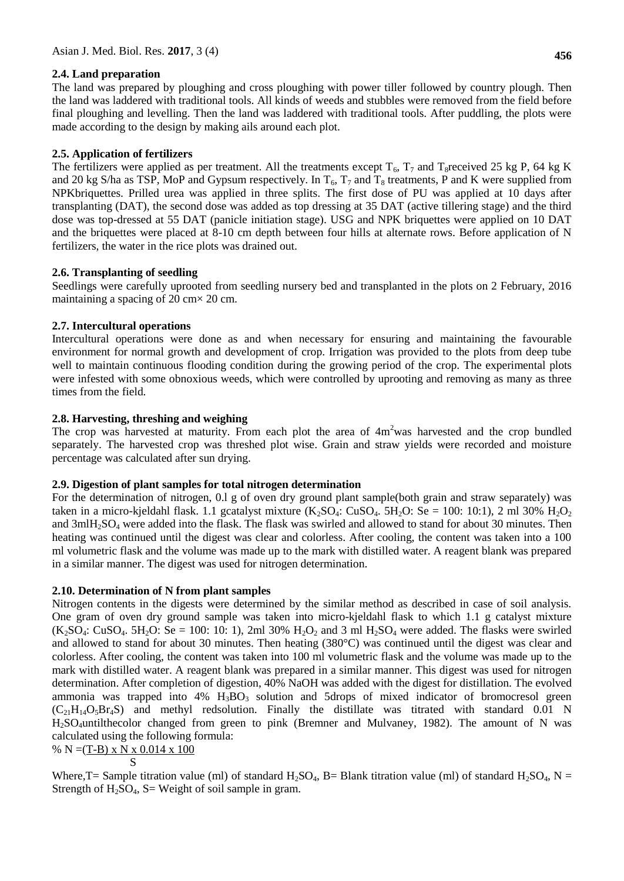## **2.4. Land preparation**

The land was prepared by ploughing and cross ploughing with power tiller followed by country plough. Then the land was laddered with traditional tools. All kinds of weeds and stubbles were removed from the field before final ploughing and levelling. Then the land was laddered with traditional tools. After puddling, the plots were made according to the design by making ails around each plot.

## **2.5. Application of fertilizers**

The fertilizers were applied as per treatment. All the treatments except  $T_6$ ,  $T_7$  and  $T_8$ received 25 kg P, 64 kg K and 20 kg S/ha as TSP, MoP and Gypsum respectively. In  $T_6$ ,  $T_7$  and  $T_8$  treatments, P and K were supplied from NPKbriquettes. Prilled urea was applied in three splits. The first dose of PU was applied at 10 days after transplanting (DAT), the second dose was added as top dressing at 35 DAT (active tillering stage) and the third dose was top-dressed at 55 DAT (panicle initiation stage). USG and NPK briquettes were applied on 10 DAT and the briquettes were placed at 8-10 cm depth between four hills at alternate rows. Before application of N fertilizers, the water in the rice plots was drained out.

## **2.6. Transplanting of seedling**

Seedlings were carefully uprooted from seedling nursery bed and transplanted in the plots on 2 February, 2016 maintaining a spacing of  $20 \text{ cm} \times 20 \text{ cm}$ .

## **2.7. Intercultural operations**

Intercultural operations were done as and when necessary for ensuring and maintaining the favourable environment for normal growth and development of crop. Irrigation was provided to the plots from deep tube well to maintain continuous flooding condition during the growing period of the crop. The experimental plots were infested with some obnoxious weeds, which were controlled by uprooting and removing as many as three times from the field.

## **2.8. Harvesting, threshing and weighing**

The crop was harvested at maturity. From each plot the area of  $4m<sup>2</sup>$ was harvested and the crop bundled separately. The harvested crop was threshed plot wise. Grain and straw yields were recorded and moisture percentage was calculated after sun drying.

## **2.9. Digestion of plant samples for total nitrogen determination**

For the determination of nitrogen, 0.l g of oven dry ground plant sample(both grain and straw separately) was taken in a micro-kjeldahl flask. 1.1 gcatalyst mixture  $(K_2SO_4: CuSO_4: 5H_2O: Se = 100: 10:1$ ), 2 ml 30%  $H_2O_2$ and 3mlH<sub>2</sub>SO<sub>4</sub> were added into the flask. The flask was swirled and allowed to stand for about 30 minutes. Then heating was continued until the digest was clear and colorless. After cooling, the content was taken into a 100 ml volumetric flask and the volume was made up to the mark with distilled water. A reagent blank was prepared in a similar manner. The digest was used for nitrogen determination.

## **2.10. Determination of N from plant samples**

Nitrogen contents in the digests were determined by the similar method as described in case of soil analysis. One gram of oven dry ground sample was taken into micro-kjeldahl flask to which 1.1 g catalyst mixture  $(K_2SO_4: CuSO_4: 5H_2O: Se = 100: 10: 1),$  2ml 30%  $H_2O_2$  and 3 ml  $H_2SO_4$  were added. The flasks were swirled and allowed to stand for about 30 minutes. Then heating (380°C) was continued until the digest was clear and colorless. After cooling, the content was taken into 100 ml volumetric flask and the volume was made up to the mark with distilled water. A reagent blank was prepared in a similar manner. This digest was used for nitrogen determination. After completion of digestion, 40% NaOH was added with the digest for distillation. The evolved ammonia was trapped into  $4\%$  H<sub>3</sub>BO<sub>3</sub> solution and 5drops of mixed indicator of bromocresol green  $(C_{21}H_{14}O_5Br_4S)$  and methyl redsolution. Finally the distillate was titrated with standard 0.01 N H2SO4untilthecolor changed from green to pink (Bremner and Mulvaney, 1982). The amount of N was calculated using the following formula:

% N = 
$$
(T-B) \times N \times 0.014 \times 100
$$
  
S

Where, T = Sample titration value (ml) of standard  $H_2SO_4$ , B = Blank titration value (ml) of standard  $H_2SO_4$ , N = Strength of  $H_2SO_4$ , S= Weight of soil sample in gram.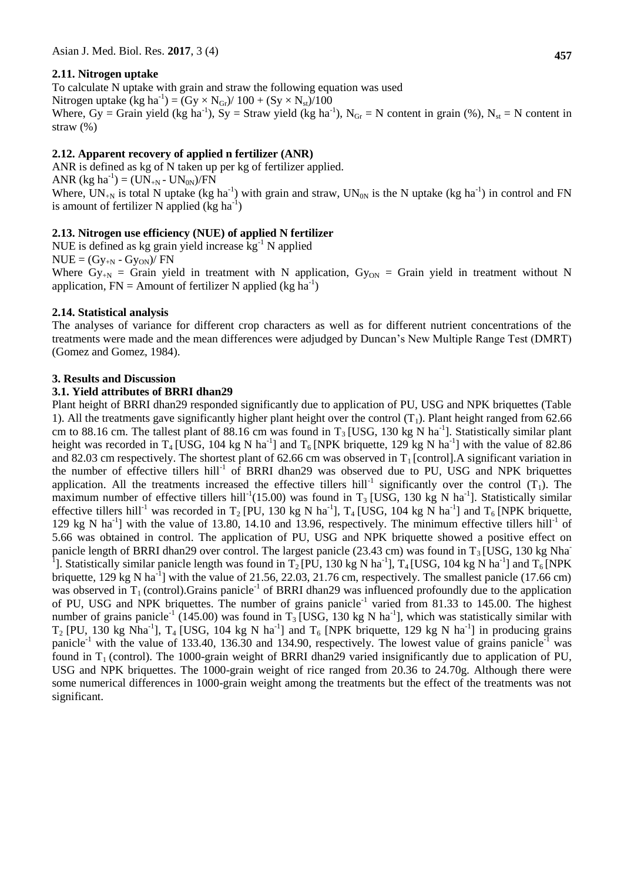## **2.11. Nitrogen uptake**

To calculate N uptake with grain and straw the following equation was used Nitrogen uptake (kg ha<sup>-1</sup>) = (Gy  $\times$  N<sub>Gr</sub>)/ 100 + (Sy  $\times$  N<sub>st</sub>)/100 Where,  $Gy = Grain$  yield (kg ha<sup>-1</sup>), Sy = Straw yield (kg ha<sup>-1</sup>), N<sub>Gr</sub> = N content in grain (%), N<sub>st</sub> = N content in straw (%)

### **2.12. Apparent recovery of applied n fertilizer (ANR)**

ANR is defined as kg of N taken up per kg of fertilizer applied. ANR (kg ha<sup>-1</sup>) = (UN<sub>+N</sub> - UN<sub>0N</sub>)/FN Where,  $UN_{+N}$  is total N uptake (kg ha<sup>-1</sup>) with grain and straw,  $UN_{0N}$  is the N uptake (kg ha<sup>-1</sup>) in control and FN is amount of fertilizer N applied  $(kg ha^{-1})$ 

### **2.13. Nitrogen use efficiency (NUE) of applied N fertilizer**

NUE is defined as kg grain yield increase  $kg^{-1}$  N applied  $NUE = (Gy_{+N} - Gy_{ON})/FN$ Where  $G_{V+N} = G_{\text{train}}$  yield in treatment with N application,  $G_{VON} = G_{\text{train}}$  yield in treatment without N application,  $FN =$  Amount of fertilizer N applied (kg ha<sup>-1</sup>)

### **2.14. Statistical analysis**

The analyses of variance for different crop characters as well as for different nutrient concentrations of the treatments were made and the mean differences were adjudged by Duncan's New Multiple Range Test (DMRT) (Gomez and Gomez, 1984).

#### **3. Results and Discussion**

#### **3.1. Yield attributes of BRRI dhan29**

Plant height of BRRI dhan29 responded significantly due to application of PU, USG and NPK briquettes (Table 1). All the treatments gave significantly higher plant height over the control  $(T_1)$ . Plant height ranged from 62.66 cm to 88.16 cm. The tallest plant of 88.16 cm was found in  $T_3$  [USG, 130 kg N ha<sup>-1</sup>]. Statistically similar plant height was recorded in T<sub>4</sub> [USG, 104 kg N ha<sup>-1</sup>] and T<sub>6</sub> [NPK briquette, 129 kg N ha<sup>-1</sup>] with the value of 82.86 and 82.03 cm respectively. The shortest plant of 62.66 cm was observed in  $T_1$  [control]. A significant variation in the number of effective tillers hill<sup>-1</sup> of BRRI dhan29 was observed due to PU, USG and NPK briquettes application. All the treatments increased the effective tillers hill<sup>-1</sup> significantly over the control  $(T_1)$ . The maximum number of effective tillers hill<sup>-1</sup>(15.00) was found in T<sub>3</sub> [USG, 130 kg N ha<sup>-1</sup>]. Statistically similar effective tillers hill<sup>-1</sup> was recorded in T<sub>2</sub> [PU, 130 kg N ha<sup>-1</sup>], T<sub>4</sub> [USG, 104 kg N ha<sup>-1</sup>] and T<sub>6</sub> [NPK briquette, 129 kg N ha<sup>-1</sup>] with the value of 13.80, 14.10 and 13.96, respectively. The minimum effective tillers hill<sup>-1</sup> of 5.66 was obtained in control. The application of PU, USG and NPK briquette showed a positive effect on panicle length of BRRI dhan29 over control. The largest panicle (23.43 cm) was found in  $T_3$  [USG, 130 kg Nha<sup>-</sup> <sup>1</sup>]. Statistically similar panicle length was found in  $T_2[P\bar{U}, 130 \text{ kg N ha}^{-1}]$ ,  $T_4[USG, 104 \text{ kg N ha}^{-1}]$  and  $T_6[NPK]$ briquette, 129 kg N ha<sup>-1</sup>] with the value of 21.56, 22.03, 21.76 cm, respectively. The smallest panicle (17.66 cm) was observed in  $T_1$  (control). Grains panicle<sup>-1</sup> of BRRI dhan29 was influenced profoundly due to the application of PU, USG and NPK briquettes. The number of grains panicle<sup>-1</sup> varied from 81.33 to 145.00. The highest number of grains panicle<sup>-1</sup> (145.00) was found in T<sub>3</sub> [USG, 130 kg N ha<sup>-1</sup>], which was statistically similar with  $T_2$  [PU, 130 kg Nha<sup>-1</sup>],  $T_4$  [USG, 104 kg N ha<sup>-1</sup>] and  $T_6$  [NPK briquette, 129 kg N ha<sup>-1</sup>] in producing grains panicle<sup>-1</sup> with the value of 133.40, 136.30 and 134.90, respectively. The lowest value of grains panicle<sup>-1</sup> was found in  $T_1$  (control). The 1000-grain weight of BRRI dhan29 varied insignificantly due to application of PU, USG and NPK briquettes. The 1000-grain weight of rice ranged from 20.36 to 24.70g. Although there were some numerical differences in 1000-grain weight among the treatments but the effect of the treatments was not significant.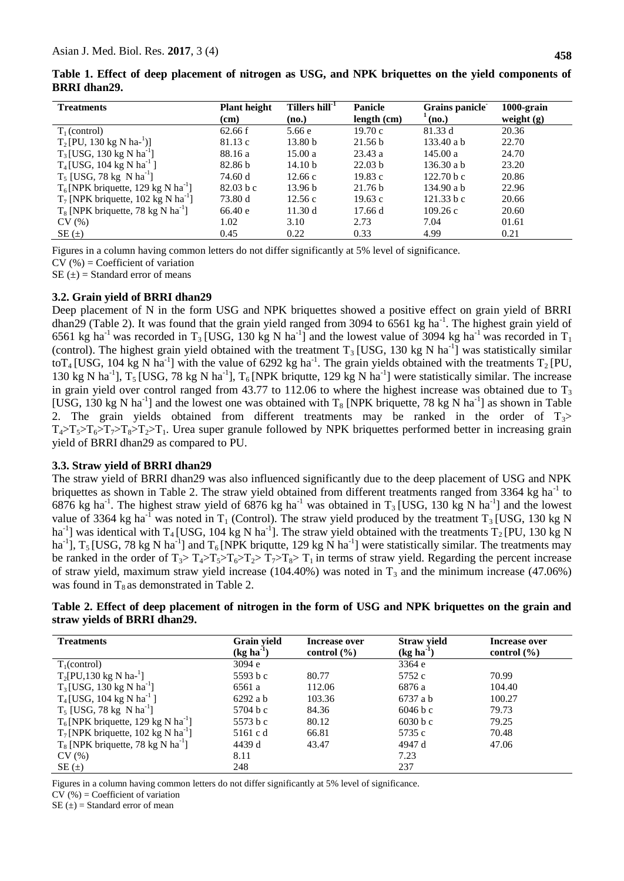|                     |  | Table 1. Effect of deep placement of nitrogen as USG, and NPK briquettes on the yield components of |  |  |  |  |  |  |
|---------------------|--|-----------------------------------------------------------------------------------------------------|--|--|--|--|--|--|
| <b>BRRI</b> dhan29. |  |                                                                                                     |  |  |  |  |  |  |

| <b>Treatments</b>                                 | <b>Plant height</b><br>(cm) | Tillers hill <sup>-1</sup><br>(no.) | <b>Panicle</b><br>length (cm) | Grains panicle<br>$^{\prime}$ (no.) | $1000$ -grain<br>weight $(g)$ |
|---------------------------------------------------|-----------------------------|-------------------------------------|-------------------------------|-------------------------------------|-------------------------------|
| $T_1$ (control)                                   | 62.66 f                     | 5.66 e                              | 19.70c                        | 81.33 d                             | 20.36                         |
| $T_2$ [PU, 130 kg N ha- <sup>1</sup> )]           | 81.13c                      | 13.80 <sub>b</sub>                  | 21.56 b                       | $133.40$ a b                        | 22.70                         |
| $T_3$ [USG, 130 kg N ha <sup>-1</sup> ]           | 88.16 a                     | 15.00a                              | 23.43a                        | 145.00 a                            | 24.70                         |
| $T_4$ [USG, 104 kg N ha <sup>-1</sup> ]           | 82.86 b                     | 14.10 <sub>b</sub>                  | 22.03 <sub>b</sub>            | $136.30$ a b                        | 23.20                         |
| $T_5$ [USG, 78 kg N ha <sup>-1</sup> ]            | 74.60 d                     | 12.66c                              | 19.83c                        | 122.70 b c                          | 20.86                         |
| $T_6$ [NPK briquette, 129 kg N ha <sup>-1</sup> ] | 82.03 b c                   | 13.96 b                             | 21.76 b                       | 134.90 a b                          | 22.96                         |
| $T_7$ [NPK briquette, 102 kg N ha <sup>-1</sup> ] | 73.80 d                     | 12.56c                              | 19.63c                        | 121.33 b c                          | 20.66                         |
| $T_8$ [NPK briquette, 78 kg N ha <sup>-1</sup> ]  | 66.40 e                     | 11.30 d                             | 17.66d                        | 109.26c                             | 20.60                         |
| CV(%)                                             | 1.02                        | 3.10                                | 2.73                          | 7.04                                | 01.61                         |
| $SE(\pm)$                                         | 0.45                        | 0.22                                | 0.33                          | 4.99                                | 0.21                          |

Figures in a column having common letters do not differ significantly at 5% level of significance.

 $CV$  (%) = Coefficient of variation

 $SE(\pm) = Standard$  error of means

### **3.2. Grain yield of BRRI dhan29**

Deep placement of N in the form USG and NPK briquettes showed a positive effect on grain yield of BRRI dhan29 (Table 2). It was found that the grain yield ranged from 3094 to  $6561$  kg ha<sup>-1</sup>. The highest grain yield of 6561 kg ha<sup>-1</sup> was recorded in T<sub>3</sub> [USG, 130 kg N ha<sup>-1</sup>] and the lowest value of 3094 kg ha<sup>-1</sup> was recorded in T<sub>1</sub> (control). The highest grain yield obtained with the treatment  $T_3$  [USG, 130 kg N ha<sup>-1</sup>] was statistically similar toT<sub>4</sub> [USG, 104 kg N ha<sup>-1</sup>] with the value of 6292 kg ha<sup>-1</sup>. The grain yields obtained with the treatments T<sub>2</sub> [PU, 130 kg N ha<sup>-1</sup>],  $T_5$  [USG, 78 kg N ha<sup>-1</sup>],  $T_6$  [NPK briqutte, 129 kg N ha<sup>-1</sup>] were statistically similar. The increase in grain yield over control ranged from 43.77 to 112.06 to where the highest increase was obtained due to  $T_3$ [USG, 130 kg N ha<sup>-1</sup>] and the lowest one was obtained with  $T_8$  [NPK briquette, 78 kg N ha<sup>-1</sup>] as shown in Table 2. The grain yields obtained from different treatments may be ranked in the order of  $T_3$ >  $T_4>T_5>T_6>T_7>T_8>T_2T_1$ . Urea super granule followed by NPK briquettes performed better in increasing grain yield of BRRI dhan29 as compared to PU.

### **3.3. Straw yield of BRRI dhan29**

The straw yield of BRRI dhan29 was also influenced significantly due to the deep placement of USG and NPK briquettes as shown in Table 2. The straw yield obtained from different treatments ranged from 3364 kg ha<sup>-1</sup> to 6876 kg ha<sup>-1</sup>. The highest straw yield of 6876 kg ha<sup>-1</sup> was obtained in T<sub>3</sub> [USG, 130 kg N ha<sup>-1</sup>] and the lowest value of 3364 kg ha<sup>-1</sup> was noted in T<sub>1</sub> (Control). The straw yield produced by the treatment T<sub>3</sub> [USG, 130 kg N ha<sup>-1</sup>] was identical with T<sub>4</sub> [USG, 104 kg N ha<sup>-1</sup>]. The straw yield obtained with the treatments T<sub>2</sub> [PU, 130 kg N ha<sup>-1</sup>],  $T_5$  [USG, 78 kg N ha<sup>-1</sup>] and  $T_6$  [NPK briqutte, 129 kg N ha<sup>-1</sup>] were statistically similar. The treatments may be ranked in the order of  $T_3 > T_4 > T_5 > T_6 > T_2 > T_7 > T_8 > T_1$  in terms of straw yield. Regarding the percent increase of straw yield, maximum straw yield increase (104.40%) was noted in  $T_3$  and the minimum increase (47.06%) was found in  $T_8$  as demonstrated in Table 2.

|                              | Table 2. Effect of deep placement of nitrogen in the form of USG and NPK briquettes on the grain and |  |  |  |  |
|------------------------------|------------------------------------------------------------------------------------------------------|--|--|--|--|
| straw yields of BRRI dhan29. |                                                                                                      |  |  |  |  |

| <b>Treatments</b>                                 | Grain yield<br>$(kg ha-1)$ | Increase over<br>control $(\% )$ | <b>Straw yield</b><br>$(kg ha-1)$ | Increase over<br>control $(\% )$ |
|---------------------------------------------------|----------------------------|----------------------------------|-----------------------------------|----------------------------------|
| $T_1$ (control)                                   | 3094 e                     |                                  | 3364 e                            |                                  |
| $T_2[PU, 130 \text{ kg N} \text{ ha}^{-1}]$       | 5593 b c                   | 80.77                            | 5752 c                            | 70.99                            |
| $T_3$ [USG, 130 kg N ha <sup>-1</sup> ]           | 6561 a                     | 112.06                           | 6876 a                            | 104.40                           |
| $T_4$ [USG, 104 kg N ha <sup>-1</sup> ]           | 6292 a b                   | 103.36                           | 6737 a b                          | 100.27                           |
| $T_5$ [USG, 78 kg N ha <sup>1</sup> ]             | 5704 b c                   | 84.36                            | 6046 b c                          | 79.73                            |
| $T_6$ [NPK briquette, 129 kg N ha <sup>-1</sup> ] | 5573 b c                   | 80.12                            | 6030 b c                          | 79.25                            |
| $T_7$ [NPK briquette, 102 kg N ha <sup>-1</sup> ] | 5161 c d                   | 66.81                            | 5735 c                            | 70.48                            |
| $T_8$ [NPK briquette, 78 kg N ha <sup>-1</sup> ]  | 4439 d                     | 43.47                            | 4947 d                            | 47.06                            |
| CV(%)                                             | 8.11                       |                                  | 7.23                              |                                  |
| $SE(\pm)$                                         | 248                        |                                  | 237                               |                                  |

Figures in a column having common letters do not differ significantly at 5% level of significance.

 $CV$  (%) = Coefficient of variation

 $SE(\pm)$  = Standard error of mean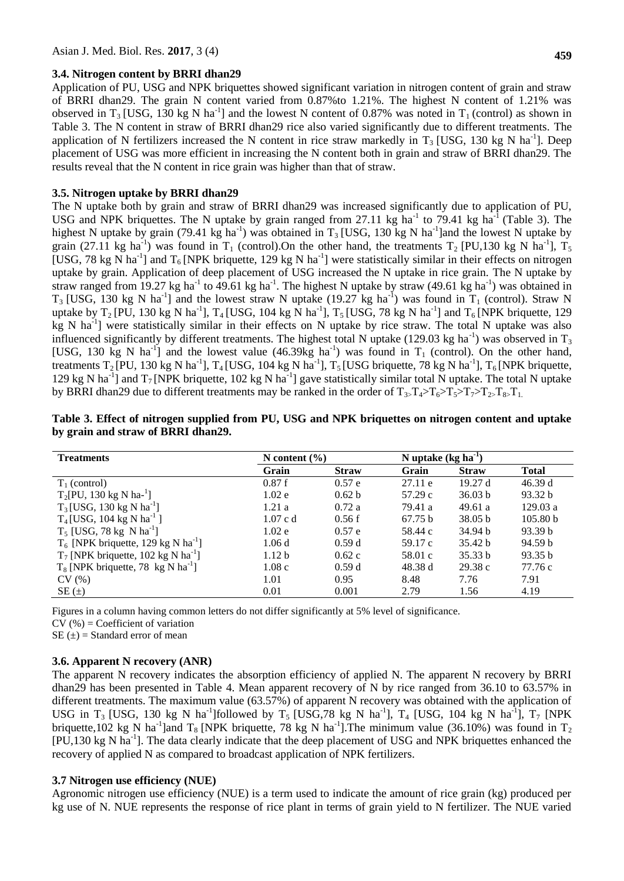#### **3.4. Nitrogen content by BRRI dhan29**

**459**

Application of PU, USG and NPK briquettes showed significant variation in nitrogen content of grain and straw of BRRI dhan29. The grain N content varied from 0.87%to 1.21%. The highest N content of 1.21% was observed in T<sub>3</sub> [USG, 130 kg N ha<sup>-1</sup>] and the lowest N content of 0.87% was noted in T<sub>1</sub> (control) as shown in Table 3. The N content in straw of BRRI dhan29 rice also varied significantly due to different treatments. The application of N fertilizers increased the N content in rice straw markedly in  $T_3$  [USG, 130 kg N ha<sup>-1</sup>]. Deep placement of USG was more efficient in increasing the N content both in grain and straw of BRRI dhan29. The results reveal that the N content in rice grain was higher than that of straw.

#### **3.5. Nitrogen uptake by BRRI dhan29**

The N uptake both by grain and straw of BRRI dhan29 was increased significantly due to application of PU, USG and NPK briquettes. The N uptake by grain ranged from 27.11 kg ha<sup>-1</sup> to 79.41 kg ha<sup>-1</sup> (Table 3). The highest N uptake by grain (79.41 kg ha<sup>-1</sup>) was obtained in  $T_3$  [USG, 130 kg N ha<sup>-1</sup>] and the lowest N uptake by grain (27.11 kg ha<sup>-1</sup>) was found in T<sub>1</sub> (control). On the other hand, the treatments T<sub>2</sub> [PU,130 kg N ha<sup>-1</sup>], T<sub>5</sub> [USG, 78 kg N ha<sup>-1</sup>] and T<sub>6</sub> [NPK briquette, 129 kg N ha<sup>-1</sup>] were statistically similar in their effects on nitrogen uptake by grain. Application of deep placement of USG increased the N uptake in rice grain. The N uptake by straw ranged from 19.27 kg ha<sup>-1</sup> to 49.61 kg ha<sup>-1</sup>. The highest N uptake by straw (49.61 kg ha<sup>-1</sup>) was obtained in  $T_3$  [USG, 130 kg N ha<sup>-1</sup>] and the lowest straw N uptake (19.27 kg ha<sup>-1</sup>) was found in T<sub>1</sub> (control). Straw N uptake by  $T_2$  [PU, 130 kg N ha<sup>-1</sup>],  $T_4$  [USG, 104 kg N ha<sup>-1</sup>],  $T_5$  [USG, 78 kg N ha<sup>-1</sup>] and  $T_6$  [NPK briquette, 129 kg N ha<sup>-1</sup>] were statistically similar in their effects on N uptake by rice straw. The total N uptake was also influenced significantly by different treatments. The highest total N uptake (129.03 kg ha<sup>-1</sup>) was observed in  $T_3$ [USG, 130 kg N ha<sup>-1</sup>] and the lowest value  $(46.39 \text{kg h}^{-1})$  was found in T<sub>1</sub> (control). On the other hand, treatments  $T_2[PU, 130 \text{ kg N ha}^{-1}]$ ,  $T_4[USG, 104 \text{ kg N ha}^{-1}]$ ,  $T_5[USG$  briquette, 78 kg N ha<sup>-1</sup>],  $T_6[NPK$  briquette, 129 kg N ha<sup>-1</sup>] and  $T_7$  [NPK briquette, 102 kg N ha<sup>-1</sup>] gave statistically similar total N uptake. The total N uptake by BRRI dhan29 due to different treatments may be ranked in the order of  $T_{3}T_{4} > T_{6} > T_{5} > T_{7} > T_{2} T_{8}$ ,  $T_{1}$ .

| <b>Treatments</b>                                 | N content $(\% )$ | N uptake $(kg ha-1)$ |         |              |                     |
|---------------------------------------------------|-------------------|----------------------|---------|--------------|---------------------|
|                                                   | Grain             | <b>Straw</b>         | Grain   | <b>Straw</b> | <b>Total</b>        |
| $T_1$ (control)                                   | 0.87f             | 0.57 e               | 27.11 e | 19.27d       | 46.39d              |
| $T_2[PU, 130 \text{ kg N} \text{ ha}^{-1}]$       | 1.02e             | 0.62 <sub>b</sub>    | 57.29c  | 36.03 b      | 93.32 b             |
| $T_3$ [USG, 130 kg N ha <sup>-1</sup> ]           | 1.21a             | 0.72a                | 79.41 a | 49.61a       | 129.03a             |
| $T_4$ [USG, 104 kg N ha <sup>-1</sup> ]           | $1.07$ c d        | 0.56f                | 67.75 b | 38.05 b      | 105.80 <sub>b</sub> |
| $T_5$ [USG, 78 kg N ha <sup>-1</sup> ]            | 1.02e             | 0.57 e               | 58.44 c | 34.94 b      | 93.39 b             |
| $T_6$ [NPK briquette, 129 kg N ha <sup>-1</sup> ] | 1.06d             | 0.59d                | 59.17 c | 35.42 b      | 94.59 b             |
| $T_7$ [NPK briquette, 102 kg N ha <sup>-1</sup> ] | 1.12 <sub>b</sub> | 0.62c                | 58.01 c | 35.33 b      | 93.35 b             |
| $T_8$ [NPK briquette, 78 kg N ha <sup>-1</sup> ]  | 1.08c             | 0.59d                | 48.38 d | 29.38c       | 77.76 c             |
| CV(%)                                             | 1.01              | 0.95                 | 8.48    | 7.76         | 7.91                |
| $SE(\pm)$                                         | 0.01              | 0.001                | 2.79    | 1.56         | 4.19                |

| Table 3. Effect of nitrogen supplied from PU, USG and NPK briquettes on nitrogen content and uptake |  |  |  |  |
|-----------------------------------------------------------------------------------------------------|--|--|--|--|
| by grain and straw of BRRI dhan29.                                                                  |  |  |  |  |

Figures in a column having common letters do not differ significantly at 5% level of significance.

 $CV$  (%) = Coefficient of variation

 $SE(\pm) = Standard$  error of mean

## **3.6. Apparent N recovery (ANR)**

The apparent N recovery indicates the absorption efficiency of applied N. The apparent N recovery by BRRI dhan29 has been presented in Table 4. Mean apparent recovery of N by rice ranged from 36.10 to 63.57% in different treatments. The maximum value (63.57%) of apparent N recovery was obtained with the application of USG in T<sub>3</sub> [USG, 130 kg N ha<sup>-1</sup>]followed by T<sub>5</sub> [USG,78 kg N ha<sup>-1</sup>], T<sub>4</sub> [USG, 104 kg N ha<sup>-1</sup>], T<sub>7</sub> [NPK briquette, 102 kg N ha<sup>-1</sup>]and T<sub>8</sub> [NPK briquette, 78 kg N ha<sup>-1</sup>]. The minimum value (36.10%) was found in T<sub>2</sub> [PU,130 kg N ha<sup>-1</sup>]. The data clearly indicate that the deep placement of USG and NPK briquettes enhanced the recovery of applied N as compared to broadcast application of NPK fertilizers.

### **3.7 Nitrogen use efficiency (NUE)**

Agronomic nitrogen use efficiency (NUE) is a term used to indicate the amount of rice grain (kg) produced per kg use of N. NUE represents the response of rice plant in terms of grain yield to N fertilizer. The NUE varied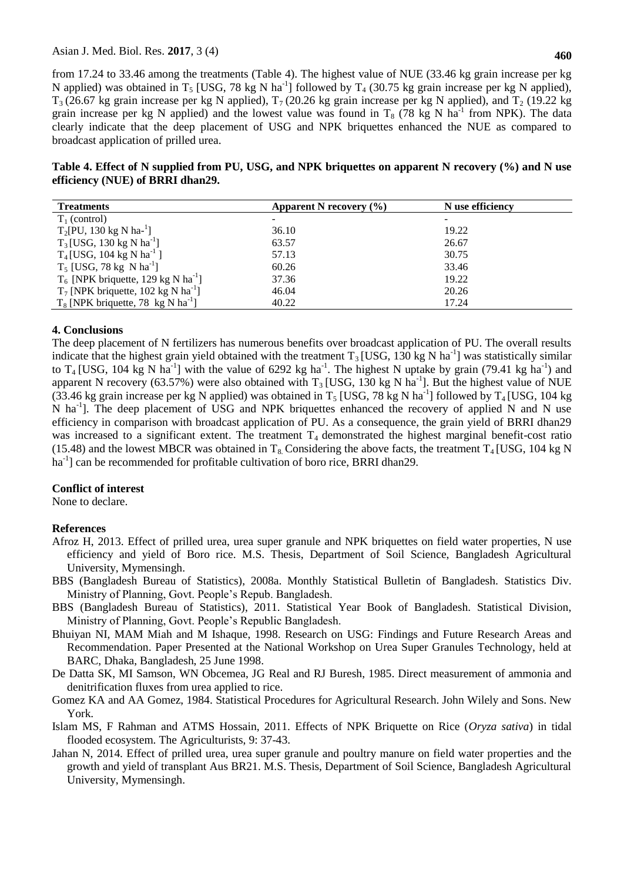from 17.24 to 33.46 among the treatments (Table 4). The highest value of NUE (33.46 kg grain increase per kg N applied) was obtained in T<sub>5</sub> [USG, 78 kg N ha<sup>-1</sup>] followed by T<sub>4</sub> (30.75 kg grain increase per kg N applied),  $T_3$  (26.67 kg grain increase per kg N applied),  $T_7$  (20.26 kg grain increase per kg N applied), and  $T_2$  (19.22 kg grain increase per kg N applied) and the lowest value was found in  $T_8$  (78 kg N ha<sup>-1</sup> from NPK). The data clearly indicate that the deep placement of USG and NPK briquettes enhanced the NUE as compared to broadcast application of prilled urea.

| Table 4. Effect of N supplied from PU, USG, and NPK briquettes on apparent N recovery (%) and N use |  |  |
|-----------------------------------------------------------------------------------------------------|--|--|
| efficiency (NUE) of BRRI dhan29.                                                                    |  |  |

| <b>Treatments</b>                                 | Apparent N recovery $(\% )$ | N use efficiency |  |
|---------------------------------------------------|-----------------------------|------------------|--|
| $T_1$ (control)                                   |                             |                  |  |
| $T_2[PU, 130 \text{ kg N} \text{ ha}^{-1}]$       | 36.10                       | 19.22            |  |
| $T_3$ [USG, 130 kg N ha <sup>-1</sup> ]           | 63.57                       | 26.67            |  |
| $T_4$ [USG, 104 kg N ha <sup>-1</sup> ]           | 57.13                       | 30.75            |  |
| $T_5$ [USG, 78 kg N ha <sup>-1</sup> ]            | 60.26                       | 33.46            |  |
| $T_6$ [NPK briquette, 129 kg N ha <sup>-1</sup> ] | 37.36                       | 19.22            |  |
| $T_7$ [NPK briquette, 102 kg N ha <sup>-1</sup> ] | 46.04                       | 20.26            |  |
| $T_8$ [NPK briquette, 78 kg N ha <sup>-1</sup> ]  | 40.22                       | 17.24            |  |

### **4. Conclusions**

The deep placement of N fertilizers has numerous benefits over broadcast application of PU. The overall results indicate that the highest grain yield obtained with the treatment  $T_3$  [USG, 130 kg N ha<sup>-1</sup>] was statistically similar to T<sub>4</sub> [USG, 104 kg N ha<sup>-1</sup>] with the value of 6292 kg ha<sup>-1</sup>. The highest N uptake by grain (79.41 kg ha<sup>-1</sup>) and apparent N recovery (63.57%) were also obtained with  $T_3$  [USG, 130 kg N ha<sup>-1</sup>]. But the highest value of NUE (33.46 kg grain increase per kg N applied) was obtained in  $T_5$  [USG, 78 kg N ha<sup>-1</sup>] followed by T<sub>4</sub> [USG, 104 kg N ha<sup>-1</sup>]. The deep placement of USG and NPK briquettes enhanced the recovery of applied N and N use efficiency in comparison with broadcast application of PU. As a consequence, the grain yield of BRRI dhan29 was increased to a significant extent. The treatment  $T_4$  demonstrated the highest marginal benefit-cost ratio (15.48) and the lowest MBCR was obtained in  $T_8$  Considering the above facts, the treatment  $T_4$  [USG, 104 kg N ha<sup>-1</sup>] can be recommended for profitable cultivation of boro rice, BRRI dhan29.

### **Conflict of interest**

None to declare.

### **References**

- Afroz H, 2013. Effect of prilled urea, urea super granule and NPK briquettes on field water properties, N use efficiency and yield of Boro rice. M.S. Thesis, Department of Soil Science, Bangladesh Agricultural University, Mymensingh.
- BBS (Bangladesh Bureau of Statistics), 2008a. Monthly Statistical Bulletin of Bangladesh. Statistics Div. Ministry of Planning, Govt. People's Repub. Bangladesh.
- BBS (Bangladesh Bureau of Statistics), 2011. Statistical Year Book of Bangladesh. Statistical Division, Ministry of Planning, Govt. People's Republic Bangladesh.
- Bhuiyan NI, MAM Miah and M Ishaque, 1998. Research on USG: Findings and Future Research Areas and Recommendation. Paper Presented at the National Workshop on Urea Super Granules Technology, held at BARC, Dhaka, Bangladesh, 25 June 1998.
- De Datta SK, MI Samson, WN Obcemea, JG Real and RJ Buresh, 1985. Direct measurement of ammonia and denitrification fluxes from urea applied to rice.
- Gomez KA and AA Gomez, 1984. Statistical Procedures for Agricultural Research. John Wilely and Sons. New York.
- Islam MS, F Rahman and ATMS Hossain, 2011. Effects of NPK Briquette on Rice (*Oryza sativa*) in tidal flooded ecosystem. The Agriculturists, 9: 37-43.
- Jahan N, 2014. Effect of prilled urea, urea super granule and poultry manure on field water properties and the growth and yield of transplant Aus BR21. M.S. Thesis, Department of Soil Science, Bangladesh Agricultural University, Mymensingh.